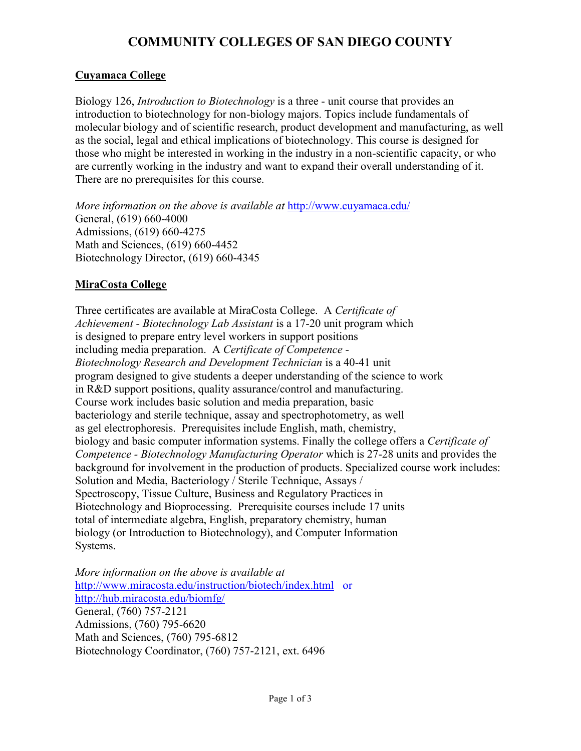# **COMMUNITY COLLEGES OF SAN DIEGO COUNTY**

## **Cuyamaca College**

Biology 126, *Introduction to Biotechnology* is a three - unit course that provides an introduction to biotechnology for non-biology majors. Topics include fundamentals of molecular biology and of scientific research, product development and manufacturing, as well as the social, legal and ethical implications of biotechnology. This course is designed for those who might be interested in working in the industry in a non-scientific capacity, or who are currently working in the industry and want to expand their overall understanding of it. There are no prerequisites for this course.

*More information on the above is available at* <http://www.cuyamaca.edu/> General, (619) 660-4000 Admissions, (619) 660-4275 Math and Sciences, (619) 660-4452 Biotechnology Director, (619) 660-4345

## **MiraCosta College**

Three certificates are available at MiraCosta College. A *Certificate of Achievement - Biotechnology Lab Assistant* is a 17-20 unit program which is designed to prepare entry level workers in support positions including media preparation. A *Certificate of Competence - Biotechnology Research and Development Technician* is a 40-41 unit program designed to give students a deeper understanding of the science to work in R&D support positions, quality assurance/control and manufacturing. Course work includes basic solution and media preparation, basic bacteriology and sterile technique, assay and spectrophotometry, as well as gel electrophoresis. Prerequisites include English, math, chemistry, biology and basic computer information systems. Finally the college offers a *Certificate of Competence - Biotechnology Manufacturing Operator* which is 27-28 units and provides the background for involvement in the production of products. Specialized course work includes: Solution and Media, Bacteriology / Sterile Technique, Assays / Spectroscopy, Tissue Culture, Business and Regulatory Practices in Biotechnology and Bioprocessing. Prerequisite courses include 17 units total of intermediate algebra, English, preparatory chemistry, human biology (or Introduction to Biotechnology), and Computer Information Systems.

*More information on the above is available at* <http://www.miracosta.edu/instruction/biotech/index.html>or <http://hub.miracosta.edu/biomfg/> General, (760) 757-2121 Admissions, (760) 795-6620 Math and Sciences, (760) 795-6812 Biotechnology Coordinator, (760) 757-2121, ext. 6496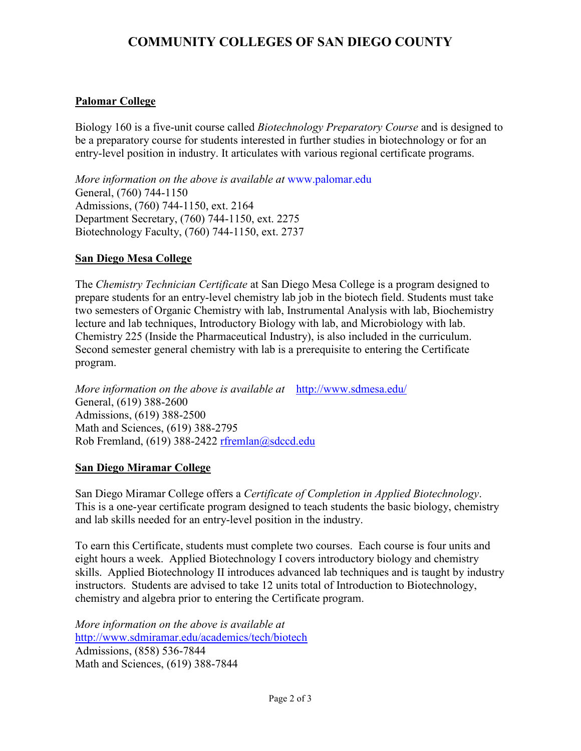# **COMMUNITY COLLEGES OF SAN DIEGO COUNTY**

### **Palomar College**

Biology 160 is a five-unit course called *Biotechnology Preparatory Course* and is designed to be a preparatory course for students interested in further studies in biotechnology or for an entry-level position in industry. It articulates with various regional certificate programs.

*More information on the above is available at* [www.palomar.edu](http://www.palomar.edu/) General, (760) 744-1150 Admissions, (760) 744-1150, ext. 2164 Department Secretary, (760) 744-1150, ext. 2275 Biotechnology Faculty, (760) 744-1150, ext. 2737

## **San Diego Mesa College**

The *Chemistry Technician Certificate* at San Diego Mesa College is a program designed to prepare students for an entry-level chemistry lab job in the biotech field. Students must take two semesters of Organic Chemistry with lab, Instrumental Analysis with lab, Biochemistry lecture and lab techniques, Introductory Biology with lab, and Microbiology with lab. Chemistry 225 (Inside the Pharmaceutical Industry), is also included in the curriculum. Second semester general chemistry with lab is a prerequisite to entering the Certificate program.

*More information on the above is available at* <http://www.sdmesa.edu/> General, (619) 388-2600 Admissions, (619) 388-2500 Math and Sciences, (619) 388-2795 Rob Fremland, (619) 388-2422 [rfremlan@sdccd.edu](mailto:rfremlan@sdccd.edu)

#### **San Diego Miramar College**

San Diego Miramar College offers a *Certificate of Completion in Applied Biotechnology*. This is a one-year certificate program designed to teach students the basic biology, chemistry and lab skills needed for an entry-level position in the industry.

To earn this Certificate, students must complete two courses. Each course is four units and eight hours a week. Applied Biotechnology I covers introductory biology and chemistry skills. Applied Biotechnology II introduces advanced lab techniques and is taught by industry instructors. Students are advised to take 12 units total of Introduction to Biotechnology, chemistry and algebra prior to entering the Certificate program.

*More information on the above is available at* <http://www.sdmiramar.edu/academics/tech/biotech> Admissions, (858) 536-7844 Math and Sciences, (619) 388-7844